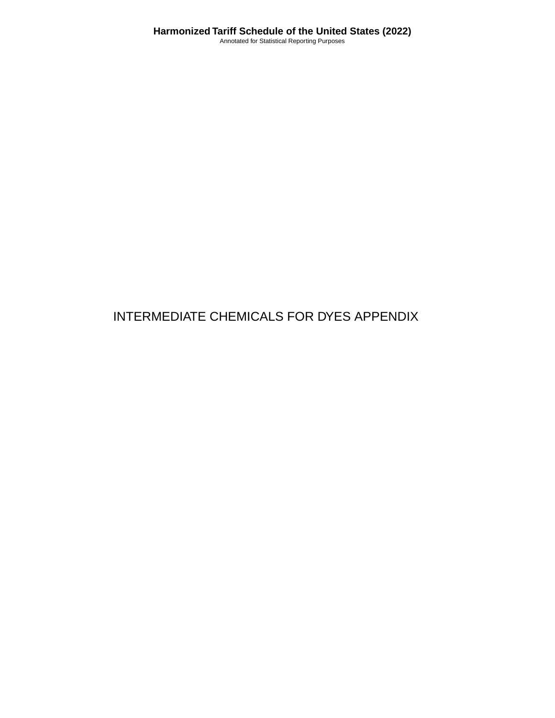# INTERMEDIATE CHEMICALS FOR DYES APPENDIX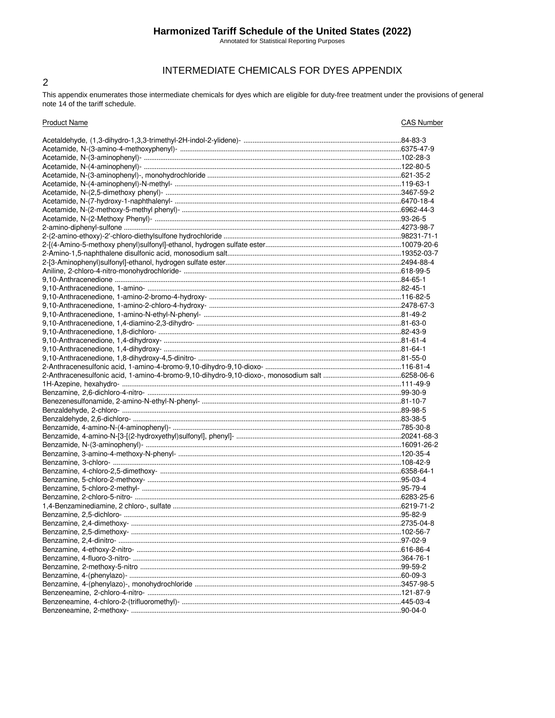# Harmonized Tariff Schedule of the United States (2022)

Annotated for Statistical Reporting Purposes

## INTERMEDIATE CHEMICALS FOR DYES APPENDIX

This appendix enumerates those intermediate chemicals for dyes which are eligible for duty-free treatment under the provisions of general note 14 of the tariff schedule.

 $\overline{2}$ 

| <b>Product Name</b>       | <b>CAS Number</b> |
|---------------------------|-------------------|
|                           |                   |
|                           |                   |
|                           |                   |
|                           |                   |
|                           |                   |
|                           |                   |
|                           |                   |
|                           |                   |
|                           |                   |
|                           |                   |
|                           |                   |
|                           |                   |
|                           |                   |
|                           |                   |
|                           |                   |
|                           |                   |
|                           |                   |
|                           |                   |
|                           |                   |
|                           |                   |
|                           |                   |
|                           |                   |
|                           |                   |
|                           |                   |
|                           |                   |
|                           |                   |
|                           |                   |
|                           |                   |
|                           |                   |
|                           |                   |
|                           |                   |
|                           |                   |
|                           |                   |
|                           |                   |
|                           |                   |
|                           |                   |
|                           |                   |
|                           |                   |
|                           |                   |
|                           |                   |
|                           |                   |
|                           |                   |
|                           |                   |
|                           |                   |
| Benzamine, 2.4-dimethoxy- |                   |
|                           |                   |
|                           |                   |
|                           |                   |
|                           |                   |
|                           |                   |
|                           |                   |
|                           |                   |
|                           |                   |
|                           |                   |
|                           |                   |
|                           |                   |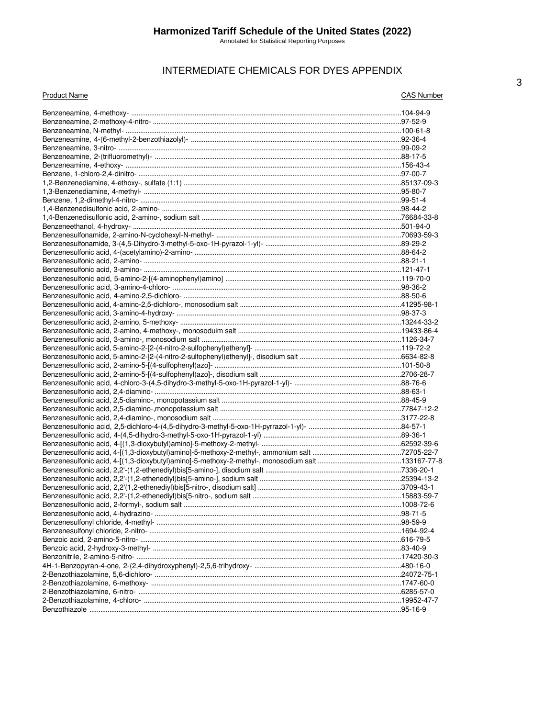# INTERMEDIATE CHEMICALS FOR DYES APPENDIX

| <b>Product Name</b> | <b>CAS Number</b> |
|---------------------|-------------------|
|                     |                   |
|                     |                   |
|                     |                   |
|                     |                   |
|                     |                   |
|                     |                   |
|                     |                   |
|                     |                   |
|                     |                   |
|                     |                   |
|                     |                   |
|                     |                   |
|                     |                   |
|                     |                   |
|                     |                   |
|                     |                   |
|                     |                   |
|                     |                   |
|                     |                   |
|                     |                   |
|                     |                   |
|                     |                   |
|                     |                   |
|                     |                   |
|                     |                   |
|                     |                   |
|                     |                   |
|                     |                   |
|                     |                   |
|                     |                   |
|                     |                   |
|                     |                   |
|                     |                   |
|                     |                   |
|                     |                   |
|                     |                   |
|                     |                   |
|                     |                   |
|                     |                   |
|                     |                   |
|                     |                   |
|                     |                   |
|                     |                   |
|                     |                   |
|                     |                   |
|                     |                   |
|                     |                   |
|                     |                   |
|                     |                   |
|                     |                   |
|                     |                   |
|                     |                   |
|                     |                   |
|                     |                   |
|                     |                   |
|                     |                   |
|                     |                   |
|                     |                   |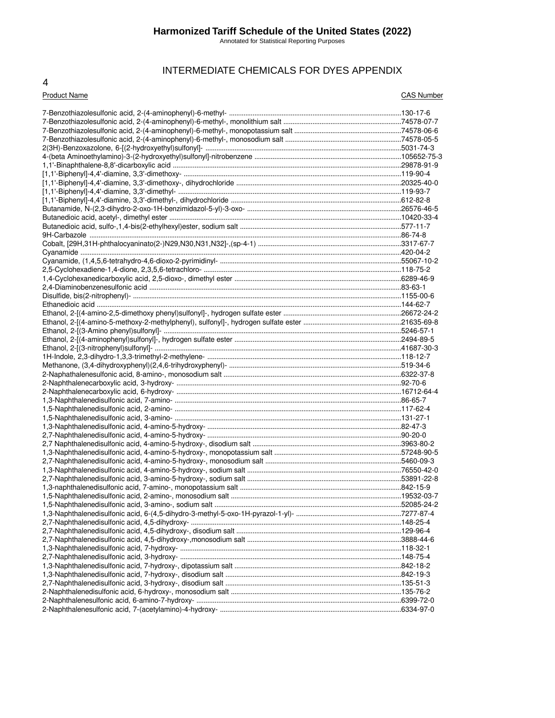#### **Harmonized Tariff Schedule of the United States (2022)**

Annotated for Statistical Reporting Purposes

# INTERMEDIATE CHEMICALS FOR DYES APPENDIX

#### 4

#### Product Name CAS Number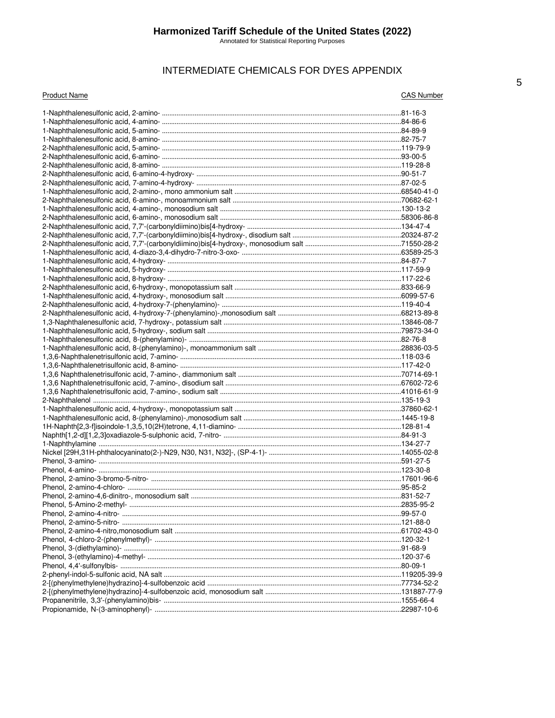# INTERMEDIATE CHEMICALS FOR DYES APPENDIX

#### **Product Name**

**CAS Number**